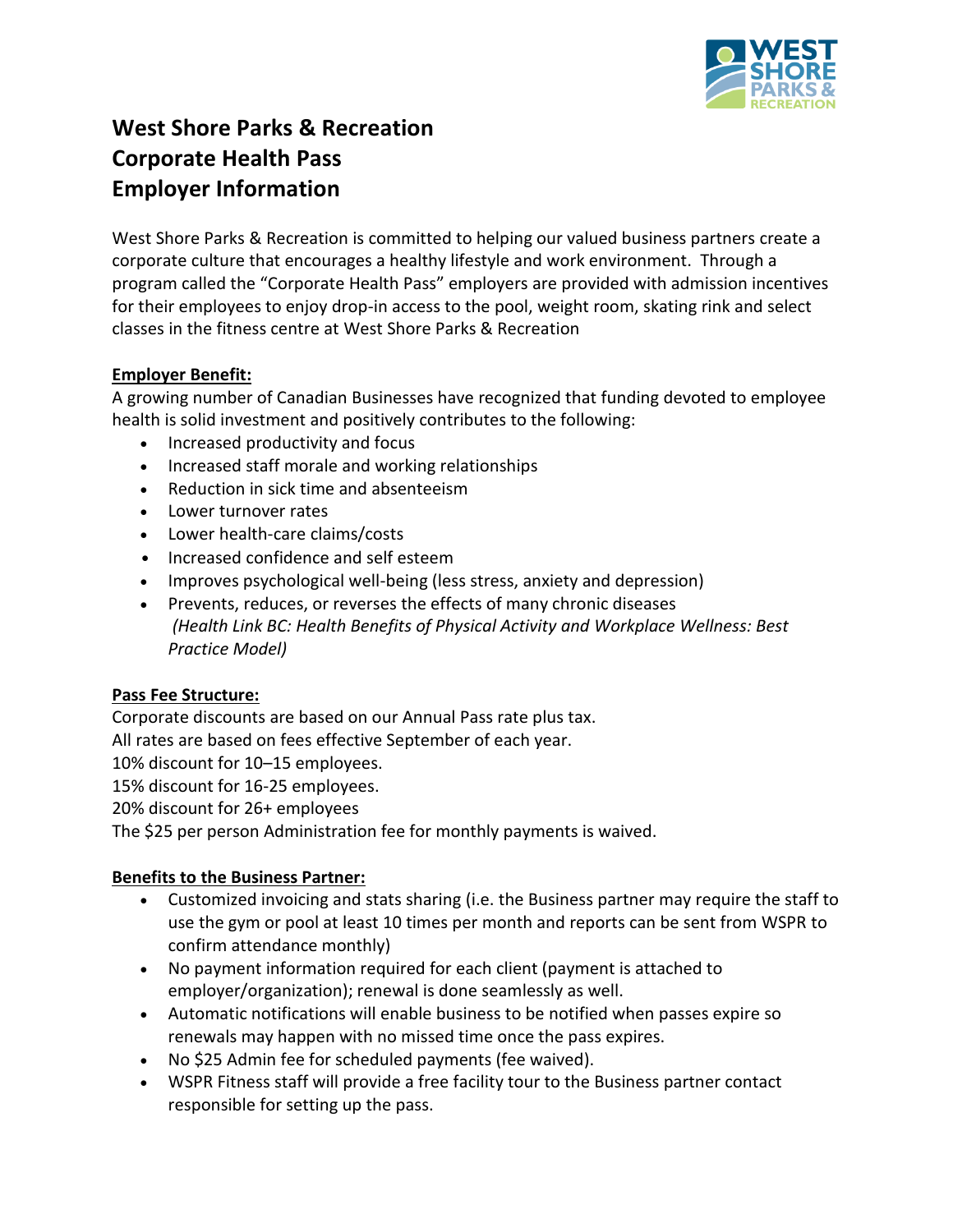

# **West Shore Parks & Recreation Corporate Health Pass Employer Information**

West Shore Parks & Recreation is committed to helping our valued business partners create a corporate culture that encourages a healthy lifestyle and work environment. Through a program called the "Corporate Health Pass" employers are provided with admission incentives for their employees to enjoy drop-in access to the pool, weight room, skating rink and select classes in the fitness centre at West Shore Parks & Recreation

# **Employer Benefit:**

A growing number of Canadian Businesses have recognized that funding devoted to employee health is solid investment and positively contributes to the following:

- Increased productivity and focus
- Increased staff morale and working relationships
- Reduction in sick time and absenteeism
- Lower turnover rates
- Lower health-care claims/costs
- Increased confidence and self esteem
- Improves psychological well-being (less stress, anxiety and depression)
- Prevents, reduces, or reverses the effects of many chronic diseases *(Health Link BC: Health Benefits of Physical Activity and Workplace Wellness: Best Practice Model)*

# **Pass Fee Structure:**

Corporate discounts are based on our Annual Pass rate plus tax. All rates are based on fees effective September of each year. 10% discount for 10–15 employees. 15% discount for 16-25 employees. 20% discount for 26+ employees

The \$25 per person Administration fee for monthly payments is waived.

# **Benefits to the Business Partner:**

- Customized invoicing and stats sharing (i.e. the Business partner may require the staff to use the gym or pool at least 10 times per month and reports can be sent from WSPR to confirm attendance monthly)
- No payment information required for each client (payment is attached to employer/organization); renewal is done seamlessly as well.
- Automatic notifications will enable business to be notified when passes expire so renewals may happen with no missed time once the pass expires.
- No \$25 Admin fee for scheduled payments (fee waived).
- WSPR Fitness staff will provide a free facility tour to the Business partner contact responsible for setting up the pass.